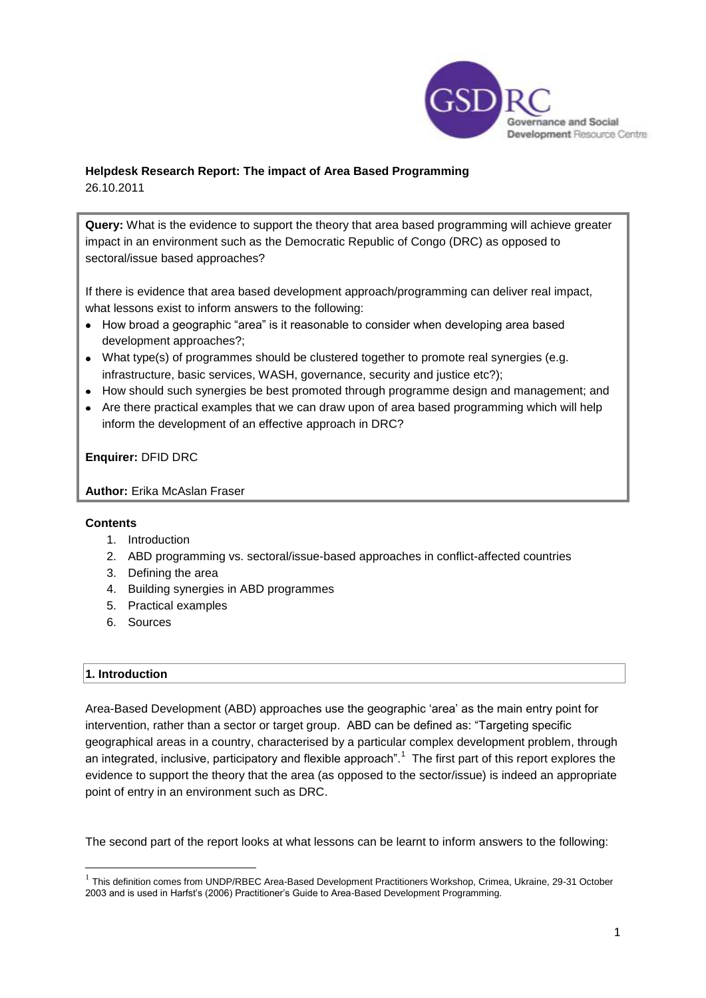

# **Helpdesk Research Report: The impact of Area Based Programming**

26.10.2011

**Query:** What is the evidence to support the theory that area based programming will achieve greater impact in an environment such as the Democratic Republic of Congo (DRC) as opposed to sectoral/issue based approaches?

If there is evidence that area based development approach/programming can deliver real impact, what lessons exist to inform answers to the following:

- How broad a geographic "area" is it reasonable to consider when developing area based development approaches?;
- What type(s) of programmes should be clustered together to promote real synergies (e.g. infrastructure, basic services, WASH, governance, security and justice etc?);
- How should such synergies be best promoted through programme design and management; and
- Are there practical examples that we can draw upon of area based programming which will help inform the development of an effective approach in DRC?

**Enquirer:** DFID DRC

**Author:** Erika McAslan Fraser

# **Contents**

- 1. Introduction
- 2. ABD programming vs. sectoral/issue-based approaches in conflict-affected countries
- 3. Defining the area
- 4. Building synergies in ABD programmes
- 5. Practical examples
- 6. Sources

# **1. Introduction**

**.** 

Area-Based Development (ABD) approaches use the geographic "area" as the main entry point for intervention, rather than a sector or target group. ABD can be defined as: "Targeting specific geographical areas in a country, characterised by a particular complex development problem, through an integrated, inclusive, participatory and flexible approach".<sup>1</sup> The first part of this report explores the evidence to support the theory that the area (as opposed to the sector/issue) is indeed an appropriate point of entry in an environment such as DRC.

The second part of the report looks at what lessons can be learnt to inform answers to the following:

<sup>&</sup>lt;sup>1</sup> This definition comes from UNDP/RBEC Area-Based Development Practitioners Workshop, Crimea, Ukraine, 29-31 October 2003 and is used in Harfst's (2006) Practitioner's Guide to Area-Based Development Programming.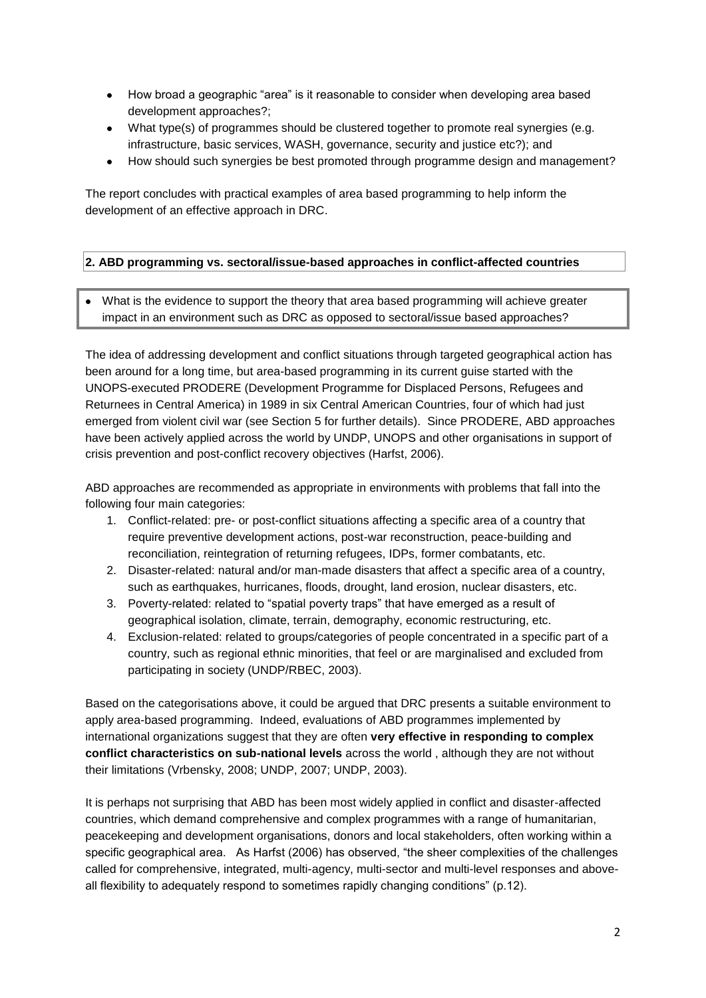- How broad a geographic "area" is it reasonable to consider when developing area based development approaches?;
- What type(s) of programmes should be clustered together to promote real synergies (e.g. infrastructure, basic services, WASH, governance, security and justice etc?); and
- How should such synergies be best promoted through programme design and management?  $\bullet$

The report concludes with practical examples of area based programming to help inform the development of an effective approach in DRC.

# **2. ABD programming vs. sectoral/issue-based approaches in conflict-affected countries**

What is the evidence to support the theory that area based programming will achieve greater impact in an environment such as DRC as opposed to sectoral/issue based approaches?

The idea of addressing development and conflict situations through targeted geographical action has been around for a long time, but area-based programming in its current guise started with the UNOPS-executed PRODERE (Development Programme for Displaced Persons, Refugees and Returnees in Central America) in 1989 in six Central American Countries, four of which had just emerged from violent civil war (see Section 5 for further details). Since PRODERE, ABD approaches have been actively applied across the world by UNDP, UNOPS and other organisations in support of crisis prevention and post-conflict recovery objectives (Harfst, 2006).

ABD approaches are recommended as appropriate in environments with problems that fall into the following four main categories:

- 1. Conflict-related: pre- or post-conflict situations affecting a specific area of a country that require preventive development actions, post-war reconstruction, peace-building and reconciliation, reintegration of returning refugees, IDPs, former combatants, etc.
- 2. Disaster-related: natural and/or man-made disasters that affect a specific area of a country, such as earthquakes, hurricanes, floods, drought, land erosion, nuclear disasters, etc.
- 3. Poverty-related: related to "spatial poverty traps" that have emerged as a result of geographical isolation, climate, terrain, demography, economic restructuring, etc.
- 4. Exclusion-related: related to groups/categories of people concentrated in a specific part of a country, such as regional ethnic minorities, that feel or are marginalised and excluded from participating in society (UNDP/RBEC, 2003).

Based on the categorisations above, it could be argued that DRC presents a suitable environment to apply area-based programming. Indeed, evaluations of ABD programmes implemented by international organizations suggest that they are often **very effective in responding to complex conflict characteristics on sub-national levels** across the world , although they are not without their limitations (Vrbensky, 2008; UNDP, 2007; UNDP, 2003).

It is perhaps not surprising that ABD has been most widely applied in conflict and disaster-affected countries, which demand comprehensive and complex programmes with a range of humanitarian, peacekeeping and development organisations, donors and local stakeholders, often working within a specific geographical area. As Harfst (2006) has observed, "the sheer complexities of the challenges called for comprehensive, integrated, multi-agency, multi-sector and multi-level responses and aboveall flexibility to adequately respond to sometimes rapidly changing conditions" (p.12).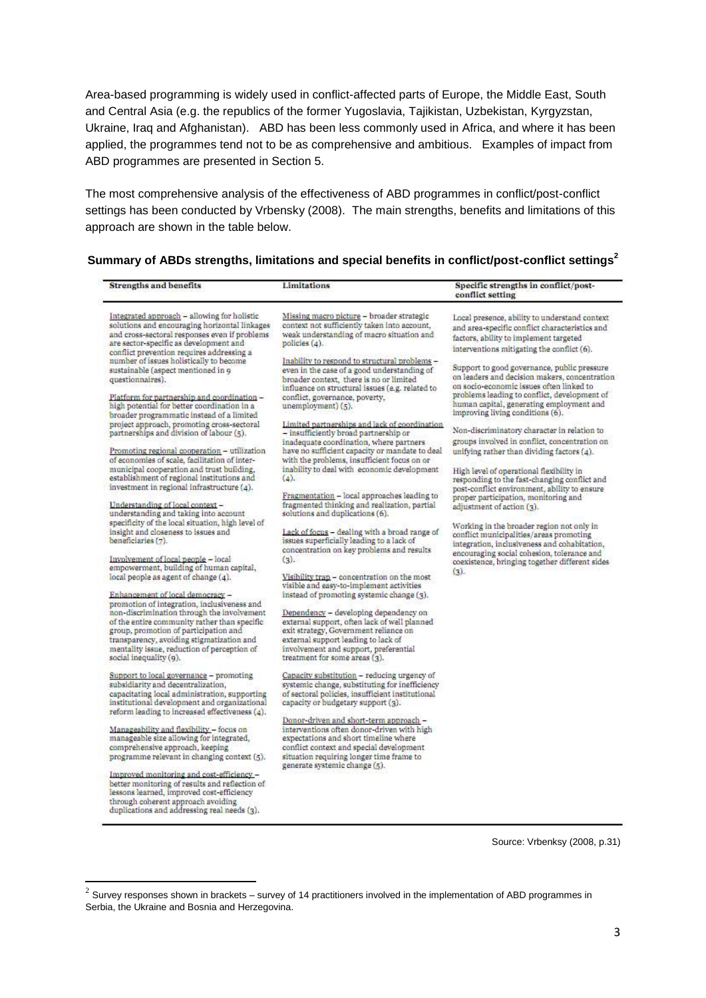Area-based programming is widely used in conflict-affected parts of Europe, the Middle East, South and Central Asia (e.g. the republics of the former Yugoslavia, Tajikistan, Uzbekistan, Kyrgyzstan, Ukraine, Iraq and Afghanistan). ABD has been less commonly used in Africa, and where it has been applied, the programmes tend not to be as comprehensive and ambitious. Examples of impact from ABD programmes are presented in Section 5.

The most comprehensive analysis of the effectiveness of ABD programmes in conflict/post-conflict settings has been conducted by Vrbensky (2008). The main strengths, benefits and limitations of this approach are shown in the table below.

| <b>Strengths and benefits</b>                                                                                                                                                                                                                                                                                                                                                                                                                                                                                                                                                                                                   | Limitations                                                                                                                                                                                                                                                                                                                                                                                                                                                                                                                                                                                          | Specific strengths in conflict/post-<br>conflict setting                                                                                                                                                                                                                                                                                                                                                                                                                                                                                                                                                          |
|---------------------------------------------------------------------------------------------------------------------------------------------------------------------------------------------------------------------------------------------------------------------------------------------------------------------------------------------------------------------------------------------------------------------------------------------------------------------------------------------------------------------------------------------------------------------------------------------------------------------------------|------------------------------------------------------------------------------------------------------------------------------------------------------------------------------------------------------------------------------------------------------------------------------------------------------------------------------------------------------------------------------------------------------------------------------------------------------------------------------------------------------------------------------------------------------------------------------------------------------|-------------------------------------------------------------------------------------------------------------------------------------------------------------------------------------------------------------------------------------------------------------------------------------------------------------------------------------------------------------------------------------------------------------------------------------------------------------------------------------------------------------------------------------------------------------------------------------------------------------------|
| Integrated approach - allowing for holistic<br>solutions and encouraging horizontal linkages<br>and cross-sectoral responses even if problems<br>are sector-specific as development and<br>conflict prevention requires addressing a<br>number of issues holistically to become<br>sustainable (aspect mentioned in 9)<br>questionnaires).<br>Platform for partnership and coordination -<br>high potential for better coordination in a<br>broader programmatic instead of a limited<br>project approach, promoting cross-sectoral<br>partnerships and division of labour (5).<br>Promoting regional cooperation - utilization | Missing macro picture - broader strategic<br>context not sufficiently taken into account.<br>weak understanding of macro situation and<br>policies (4).<br>Inability to respond to structural problems -<br>even in the case of a good understanding of<br>broader context, there is no or limited<br>influence on structural issues (e.g. related to<br>conflict, governance, poverty,<br>unemployment) (5).<br>Limited partnerships and lack of coordination<br>- insufficiently broad partnership or<br>inadequate coordination, where partners<br>have no sufficient capacity or mandate to deal | Local presence, ability to understand context<br>and area-specific conflict characteristics and<br>factors, ability to implement targeted<br>interventions mitigating the conflict (6).<br>Support to good governance, public pressure<br>on leaders and decision makers, concentration<br>on socio-economic issues often linked to<br>problems leading to conflict, development of<br>human capital, generating employment and<br>improving living conditions (6).<br>Non-discriminatory character in relation to<br>groups involved in conflict, concentration on<br>unifying rather than dividing factors (4). |
| of economies of scale, facilitation of inter-<br>municipal cooperation and trust building.<br>establishment of regional institutions and<br>investment in regional infrastructure (4).<br>Understanding of local context -                                                                                                                                                                                                                                                                                                                                                                                                      | with the problems, insufficient focus on or<br>inability to deal with economic development<br>(4).<br>Fragmentation - local approaches leading to<br>fragmented thinking and realization, partial                                                                                                                                                                                                                                                                                                                                                                                                    | High level of operational flexibility in<br>responding to the fast-changing conflict and<br>post-conflict environment, ability to ensure<br>proper participation, monitoring and<br>adjustment of action (3).                                                                                                                                                                                                                                                                                                                                                                                                     |
| understanding and taking into account<br>specificity of the local situation, high level of<br>insight and closeness to issues and<br>beneficiaries (7).                                                                                                                                                                                                                                                                                                                                                                                                                                                                         | solutions and duplications (6).<br>Lack of focus - dealing with a broad range of<br>issues superficially leading to a lack of<br>concentration on key problems and results                                                                                                                                                                                                                                                                                                                                                                                                                           | Working in the broader region not only in<br>conflict municipalities/areas promoting<br>integration, inclusiveness and cohabitation,<br>encouraging social cohesion, tolerance and                                                                                                                                                                                                                                                                                                                                                                                                                                |
| Involvement of local people - local<br>empowerment, building of human capital,<br>local people as agent of change (4).<br>Enhancement of local democracy -<br>promotion of integration, inclusiveness and<br>non-discrimination through the involvement<br>of the entire community rather than specific<br>group, promotion of participation and<br>transparency, avoiding stigmatization and<br>mentality issue, reduction of perception of<br>social inequality (9).                                                                                                                                                          | (3).<br>Visibility trap - concentration on the most<br>visible and easy-to-implement activities<br>instead of promoting systemic change (3).<br>Dependency - developing dependency on<br>external support, often lack of well planned<br>exit strategy, Government reliance on<br>external support leading to lack of<br>involvement and support, preferential<br>treatment for some areas (3).                                                                                                                                                                                                      | coexistence, bringing together different sides<br>$(3)$ .                                                                                                                                                                                                                                                                                                                                                                                                                                                                                                                                                         |
| Support to local governance - promoting<br>subsidiarity and decentralization,<br>capacitating local administration, supporting<br>institutional development and organizational<br>reform leading to increased effectiveness $(a)$ .                                                                                                                                                                                                                                                                                                                                                                                             | Capacity substitution - reducing urgency of<br>systemic change, substituting for inefficiency<br>of sectoral policies, insufficient institutional<br>capacity or budgetary support (3).<br>Donor-driven and short-term approach -                                                                                                                                                                                                                                                                                                                                                                    |                                                                                                                                                                                                                                                                                                                                                                                                                                                                                                                                                                                                                   |
| Manageability and flexibility - focus on<br>manageable size allowing for integrated,<br>comprehensive approach, keeping<br>programme relevant in changing context (5).<br>Improved monitoring and cost-efficiency -                                                                                                                                                                                                                                                                                                                                                                                                             | interventions often donor-driven with high<br>expectations and short timeline where<br>conflict context and special development<br>situation requiring longer time frame to<br>generate systemic change (5).                                                                                                                                                                                                                                                                                                                                                                                         |                                                                                                                                                                                                                                                                                                                                                                                                                                                                                                                                                                                                                   |
| better monitoring of results and reflection of<br>lessons learned, improved cost-efficiency<br>through coherent approach avoiding<br>duplications and addressing real needs (3).                                                                                                                                                                                                                                                                                                                                                                                                                                                |                                                                                                                                                                                                                                                                                                                                                                                                                                                                                                                                                                                                      |                                                                                                                                                                                                                                                                                                                                                                                                                                                                                                                                                                                                                   |

| Summary of ABDs strengths, limitations and special benefits in conflict/post-conflict settings <sup>2</sup> |
|-------------------------------------------------------------------------------------------------------------|
|-------------------------------------------------------------------------------------------------------------|

Source: Vrbenksy (2008, p.31)

 2 Survey responses shown in brackets – survey of 14 practitioners involved in the implementation of ABD programmes in Serbia, the Ukraine and Bosnia and Herzegovina.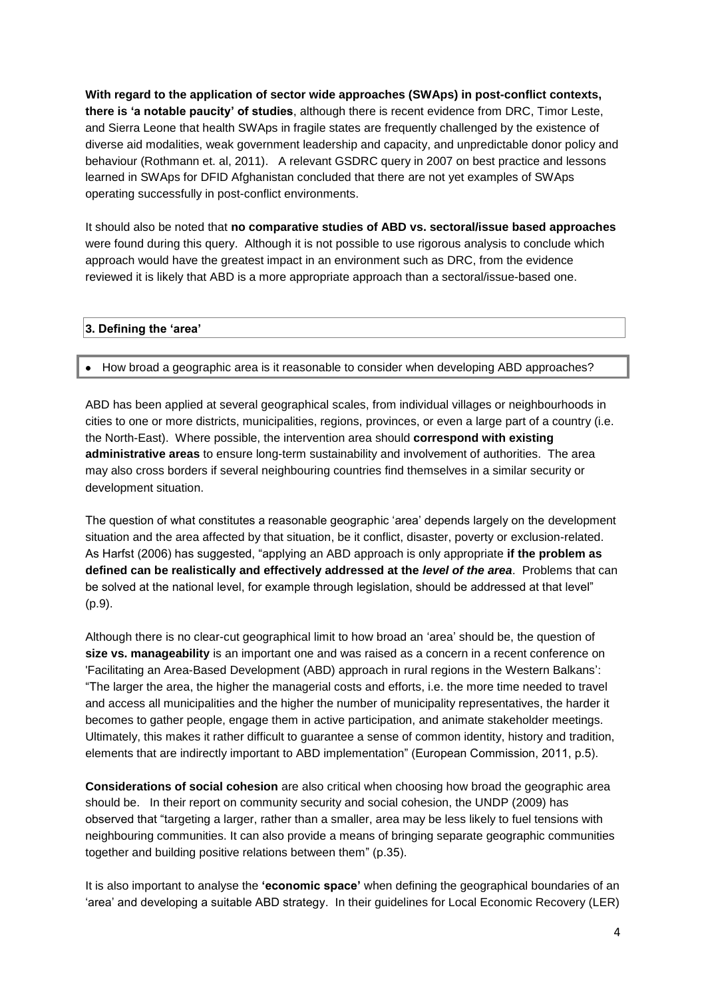**With regard to the application of sector wide approaches (SWAps) in post-conflict contexts, there is 'a notable paucity' of studies**, although there is recent evidence from DRC, Timor Leste, and Sierra Leone that health SWAps in fragile states are frequently challenged by the existence of diverse aid modalities, weak government leadership and capacity, and unpredictable donor policy and behaviour (Rothmann et. al, 2011). A relevant GSDRC query in 2007 on best practice and lessons learned in SWAps for DFID Afghanistan concluded that there are not yet examples of SWAps operating successfully in post-conflict environments.

It should also be noted that **no comparative studies of ABD vs. sectoral/issue based approaches** were found during this query. Although it is not possible to use rigorous analysis to conclude which approach would have the greatest impact in an environment such as DRC, from the evidence reviewed it is likely that ABD is a more appropriate approach than a sectoral/issue-based one.

#### **3. Defining the 'area'**

#### • How broad a geographic area is it reasonable to consider when developing ABD approaches?

ABD has been applied at several geographical scales, from individual villages or neighbourhoods in cities to one or more districts, municipalities, regions, provinces, or even a large part of a country (i.e. the North-East). Where possible, the intervention area should **correspond with existing administrative areas** to ensure long-term sustainability and involvement of authorities. The area may also cross borders if several neighbouring countries find themselves in a similar security or development situation.

The question of what constitutes a reasonable geographic "area" depends largely on the development situation and the area affected by that situation, be it conflict, disaster, poverty or exclusion-related. As Harfst (2006) has suggested, "applying an ABD approach is only appropriate **if the problem as defined can be realistically and effectively addressed at the** *level of the area*. Problems that can be solved at the national level, for example through legislation, should be addressed at that level" (p.9).

Although there is no clear-cut geographical limit to how broad an "area" should be, the question of **size vs. manageability** is an important one and was raised as a concern in a recent conference on 'Facilitating an Area-Based Development (ABD) approach in rural regions in the Western Balkans": "The larger the area, the higher the managerial costs and efforts, i.e. the more time needed to travel and access all municipalities and the higher the number of municipality representatives, the harder it becomes to gather people, engage them in active participation, and animate stakeholder meetings. Ultimately, this makes it rather difficult to guarantee a sense of common identity, history and tradition, elements that are indirectly important to ABD implementation" (European Commission, 2011, p.5).

**Considerations of social cohesion** are also critical when choosing how broad the geographic area should be. In their report on community security and social cohesion, the UNDP (2009) has observed that "targeting a larger, rather than a smaller, area may be less likely to fuel tensions with neighbouring communities. It can also provide a means of bringing separate geographic communities together and building positive relations between them" (p.35).

It is also important to analyse the **'economic space'** when defining the geographical boundaries of an 'area' and developing a suitable ABD strategy. In their guidelines for Local Economic Recovery (LER)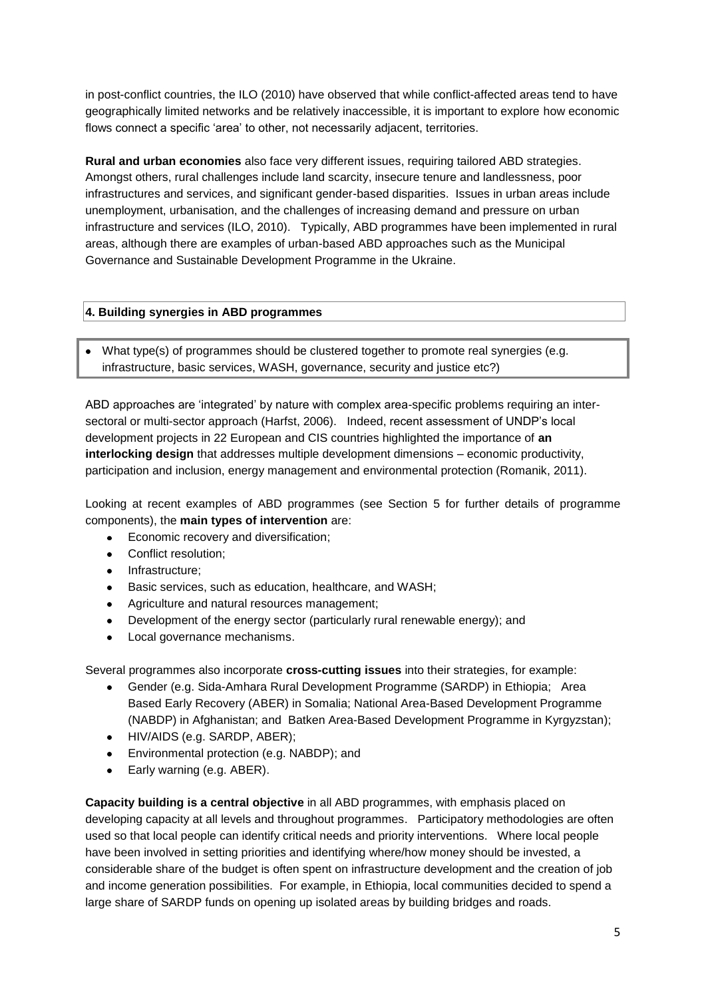in post-conflict countries, the ILO (2010) have observed that while conflict-affected areas tend to have geographically limited networks and be relatively inaccessible, it is important to explore how economic flows connect a specific 'area' to other, not necessarily adjacent, territories.

**Rural and urban economies** also face very different issues, requiring tailored ABD strategies. Amongst others, rural challenges include land scarcity, insecure tenure and landlessness, poor infrastructures and services, and significant gender-based disparities. Issues in urban areas include unemployment, urbanisation, and the challenges of increasing demand and pressure on urban infrastructure and services (ILO, 2010). Typically, ABD programmes have been implemented in rural areas, although there are examples of urban-based ABD approaches such as the Municipal Governance and Sustainable Development Programme in the Ukraine.

## **4. Building synergies in ABD programmes**

• What type(s) of programmes should be clustered together to promote real synergies (e.g. infrastructure, basic services, WASH, governance, security and justice etc?)

ABD approaches are "integrated" by nature with complex area-specific problems requiring an intersectoral or multi-sector approach (Harfst, 2006). Indeed, recent assessment of UNDP's local development projects in 22 European and CIS countries highlighted the importance of **an interlocking design** that addresses multiple development dimensions – economic productivity, participation and inclusion, energy management and environmental protection (Romanik, 2011).

Looking at recent examples of ABD programmes (see Section 5 for further details of programme components), the **main types of intervention** are:

- Economic recovery and diversification;  $\bullet$
- Conflict resolution;  $\bullet$
- Infrastructure;
- Basic services, such as education, healthcare, and WASH;  $\bullet$
- Agriculture and natural resources management;  $\bullet$
- Development of the energy sector (particularly rural renewable energy); and  $\bullet$
- Local governance mechanisms.

Several programmes also incorporate **cross-cutting issues** into their strategies, for example:

- Gender (e.g. Sida-Amhara Rural Development Programme (SARDP) in Ethiopia; Area  $\bullet$ Based Early Recovery (ABER) in Somalia; National Area-Based Development Programme (NABDP) in Afghanistan; and Batken Area-Based Development Programme in Kyrgyzstan);
- HIV/AIDS (e.g. SARDP, ABER);
- Environmental protection (e.g. NABDP); and
- Early warning (e.g. ABER).  $\bullet$

**Capacity building is a central objective** in all ABD programmes, with emphasis placed on developing capacity at all levels and throughout programmes. Participatory methodologies are often used so that local people can identify critical needs and priority interventions. Where local people have been involved in setting priorities and identifying where/how money should be invested, a considerable share of the budget is often spent on infrastructure development and the creation of job and income generation possibilities. For example, in Ethiopia, local communities decided to spend a large share of SARDP funds on opening up isolated areas by building bridges and roads.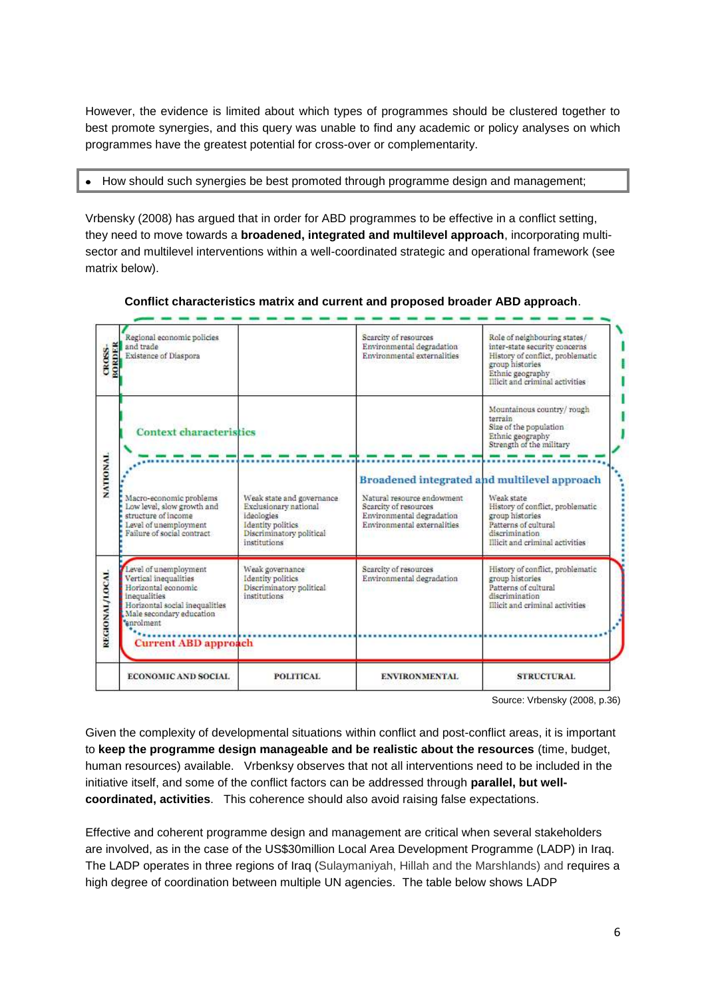However, the evidence is limited about which types of programmes should be clustered together to best promote synergies, and this query was unable to find any academic or policy analyses on which programmes have the greatest potential for cross-over or complementarity.

#### $\bullet$ How should such synergies be best promoted through programme design and management;

Vrbensky (2008) has argued that in order for ABD programmes to be effective in a conflict setting, they need to move towards a **broadened, integrated and multilevel approach**, incorporating multisector and multilevel interventions within a well-coordinated strategic and operational framework (see matrix below).



#### **Conflict characteristics matrix and current and proposed broader ABD approach**.

Source: Vrbensky (2008, p.36)

Given the complexity of developmental situations within conflict and post-conflict areas, it is important to **keep the programme design manageable and be realistic about the resources** (time, budget, human resources) available. Vrbenksy observes that not all interventions need to be included in the initiative itself, and some of the conflict factors can be addressed through **parallel, but wellcoordinated, activities**. This coherence should also avoid raising false expectations.

Effective and coherent programme design and management are critical when several stakeholders are involved, as in the case of the US\$30million Local Area Development Programme (LADP) in Iraq. The LADP operates in three regions of Iraq (Sulaymaniyah, Hillah and the Marshlands) and requires a high degree of coordination between multiple UN agencies. The table below shows LADP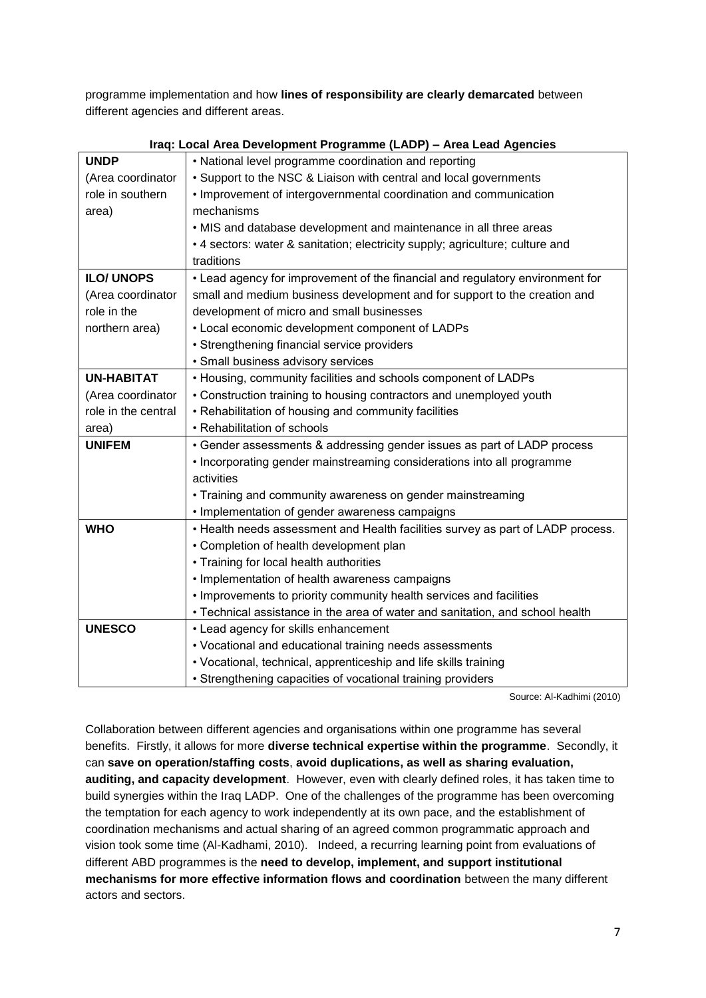programme implementation and how **lines of responsibility are clearly demarcated** between different agencies and different areas.

| <b>UNDP</b>         | • National level programme coordination and reporting                           |  |  |  |  |  |
|---------------------|---------------------------------------------------------------------------------|--|--|--|--|--|
| (Area coordinator   | • Support to the NSC & Liaison with central and local governments               |  |  |  |  |  |
| role in southern    | • Improvement of intergovernmental coordination and communication               |  |  |  |  |  |
| area)               | mechanisms                                                                      |  |  |  |  |  |
|                     | . MIS and database development and maintenance in all three areas               |  |  |  |  |  |
|                     | • 4 sectors: water & sanitation; electricity supply; agriculture; culture and   |  |  |  |  |  |
|                     | traditions                                                                      |  |  |  |  |  |
| <b>ILO/ UNOPS</b>   | • Lead agency for improvement of the financial and regulatory environment for   |  |  |  |  |  |
| (Area coordinator   | small and medium business development and for support to the creation and       |  |  |  |  |  |
| role in the         | development of micro and small businesses                                       |  |  |  |  |  |
| northern area)      | • Local economic development component of LADPs                                 |  |  |  |  |  |
|                     | • Strengthening financial service providers                                     |  |  |  |  |  |
|                     | · Small business advisory services                                              |  |  |  |  |  |
| <b>UN-HABITAT</b>   | • Housing, community facilities and schools component of LADPs                  |  |  |  |  |  |
| (Area coordinator   | • Construction training to housing contractors and unemployed youth             |  |  |  |  |  |
| role in the central | • Rehabilitation of housing and community facilities                            |  |  |  |  |  |
| area)               | • Rehabilitation of schools                                                     |  |  |  |  |  |
| <b>UNIFEM</b>       | • Gender assessments & addressing gender issues as part of LADP process         |  |  |  |  |  |
|                     | • Incorporating gender mainstreaming considerations into all programme          |  |  |  |  |  |
|                     | activities                                                                      |  |  |  |  |  |
|                     | • Training and community awareness on gender mainstreaming                      |  |  |  |  |  |
|                     | • Implementation of gender awareness campaigns                                  |  |  |  |  |  |
| <b>WHO</b>          | • Health needs assessment and Health facilities survey as part of LADP process. |  |  |  |  |  |
|                     | • Completion of health development plan                                         |  |  |  |  |  |
|                     | • Training for local health authorities                                         |  |  |  |  |  |
|                     | • Implementation of health awareness campaigns                                  |  |  |  |  |  |
|                     | . Improvements to priority community health services and facilities             |  |  |  |  |  |
|                     | • Technical assistance in the area of water and sanitation, and school health   |  |  |  |  |  |
| <b>UNESCO</b>       | • Lead agency for skills enhancement                                            |  |  |  |  |  |
|                     | • Vocational and educational training needs assessments                         |  |  |  |  |  |
|                     | • Vocational, technical, apprenticeship and life skills training                |  |  |  |  |  |
|                     | • Strengthening capacities of vocational training providers                     |  |  |  |  |  |

|  |  | Iraq: Local Area Development Programme (LADP) - Area Lead Agencies |  |  |
|--|--|--------------------------------------------------------------------|--|--|
|  |  |                                                                    |  |  |

Source: Al-Kadhimi (2010)

Collaboration between different agencies and organisations within one programme has several benefits. Firstly, it allows for more **diverse technical expertise within the programme**. Secondly, it can **save on operation/staffing costs**, **avoid duplications, as well as sharing evaluation, auditing, and capacity development**. However, even with clearly defined roles, it has taken time to build synergies within the Iraq LADP. One of the challenges of the programme has been overcoming the temptation for each agency to work independently at its own pace, and the establishment of coordination mechanisms and actual sharing of an agreed common programmatic approach and vision took some time (Al-Kadhami, 2010). Indeed, a recurring learning point from evaluations of different ABD programmes is the **need to develop, implement, and support institutional mechanisms for more effective information flows and coordination** between the many different actors and sectors.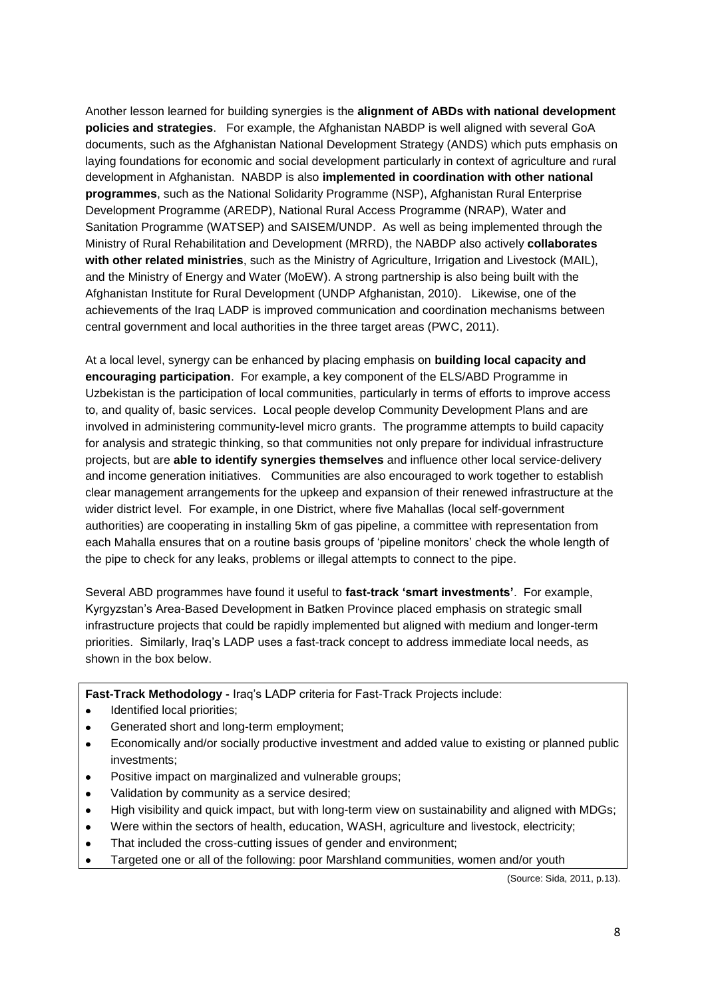Another lesson learned for building synergies is the **alignment of ABDs with national development policies and strategies**. For example, the Afghanistan NABDP is well aligned with several GoA documents, such as the Afghanistan National Development Strategy (ANDS) which puts emphasis on laying foundations for economic and social development particularly in context of agriculture and rural development in Afghanistan. NABDP is also **implemented in coordination with other national programmes**, such as the National Solidarity Programme (NSP), Afghanistan Rural Enterprise Development Programme (AREDP), National Rural Access Programme (NRAP), Water and Sanitation Programme (WATSEP) and SAISEM/UNDP. As well as being implemented through the Ministry of Rural Rehabilitation and Development (MRRD), the NABDP also actively **collaborates with other related ministries**, such as the Ministry of Agriculture, Irrigation and Livestock (MAIL), and the Ministry of Energy and Water (MoEW). A strong partnership is also being built with the Afghanistan Institute for Rural Development (UNDP Afghanistan, 2010). Likewise, one of the achievements of the Iraq LADP is improved communication and coordination mechanisms between central government and local authorities in the three target areas (PWC, 2011).

At a local level, synergy can be enhanced by placing emphasis on **building local capacity and encouraging participation**. For example, a key component of the ELS/ABD Programme in Uzbekistan is the participation of local communities, particularly in terms of efforts to improve access to, and quality of, basic services. Local people develop Community Development Plans and are involved in administering community-level micro grants. The programme attempts to build capacity for analysis and strategic thinking, so that communities not only prepare for individual infrastructure projects, but are **able to identify synergies themselves** and influence other local service-delivery and income generation initiatives. Communities are also encouraged to work together to establish clear management arrangements for the upkeep and expansion of their renewed infrastructure at the wider district level. For example, in one District, where five Mahallas (local self-government authorities) are cooperating in installing 5km of gas pipeline, a committee with representation from each Mahalla ensures that on a routine basis groups of 'pipeline monitors' check the whole length of the pipe to check for any leaks, problems or illegal attempts to connect to the pipe.

Several ABD programmes have found it useful to **fast-track 'smart investments'**. For example, Kyrgyzstan"s Area-Based Development in Batken Province placed emphasis on strategic small infrastructure projects that could be rapidly implemented but aligned with medium and longer-term priorities. Similarly, Iraq"s LADP uses a fast-track concept to address immediate local needs, as shown in the box below.

**Fast-Track Methodology -** Iraq"s LADP criteria for Fast-Track Projects include:

- Identified local priorities;  $\bullet$
- Generated short and long-term employment;  $\bullet$
- Economically and/or socially productive investment and added value to existing or planned public  $\bullet$ investments;
- Positive impact on marginalized and vulnerable groups;  $\bullet$
- Validation by community as a service desired;  $\bullet$
- High visibility and quick impact, but with long-term view on sustainability and aligned with MDGs;  $\bullet$
- Were within the sectors of health, education, WASH, agriculture and livestock, electricity;  $\bullet$
- That included the cross-cutting issues of gender and environment;  $\bullet$
- Targeted one or all of the following: poor Marshland communities, women and/or youth

(Source: Sida, 2011, p.13).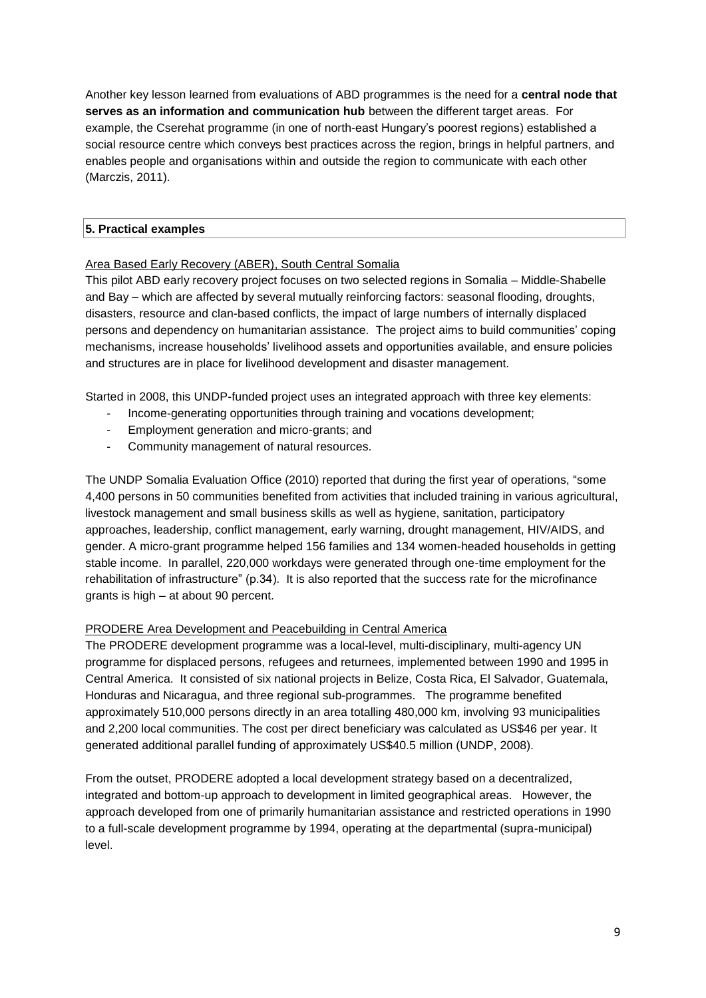Another key lesson learned from evaluations of ABD programmes is the need for a **central node that serves as an information and communication hub** between the different target areas. For example, the Cserehat programme (in one of north-east Hungary"s poorest regions) established a social resource centre which conveys best practices across the region, brings in helpful partners, and enables people and organisations within and outside the region to communicate with each other (Marczis, 2011).

## **5. Practical examples**

## Area Based Early Recovery (ABER), South Central Somalia

This pilot ABD early recovery project focuses on two selected regions in Somalia – Middle-Shabelle and Bay – which are affected by several mutually reinforcing factors: seasonal flooding, droughts, disasters, resource and clan-based conflicts, the impact of large numbers of internally displaced persons and dependency on humanitarian assistance. The project aims to build communities" coping mechanisms, increase households" livelihood assets and opportunities available, and ensure policies and structures are in place for livelihood development and disaster management.

Started in 2008, this UNDP-funded project uses an integrated approach with three key elements:

- Income-generating opportunities through training and vocations development;
- Employment generation and micro-grants; and
- Community management of natural resources.

The UNDP Somalia Evaluation Office (2010) reported that during the first year of operations, "some 4,400 persons in 50 communities benefited from activities that included training in various agricultural, livestock management and small business skills as well as hygiene, sanitation, participatory approaches, leadership, conflict management, early warning, drought management, HIV/AIDS, and gender. A micro-grant programme helped 156 families and 134 women-headed households in getting stable income. In parallel, 220,000 workdays were generated through one-time employment for the rehabilitation of infrastructure" (p.34). It is also reported that the success rate for the microfinance grants is high – at about 90 percent.

#### PRODERE Area Development and Peacebuilding in Central America

The PRODERE development programme was a local-level, multi-disciplinary, multi-agency UN programme for displaced persons, refugees and returnees, implemented between 1990 and 1995 in Central America. It consisted of six national projects in Belize, Costa Rica, El Salvador, Guatemala, Honduras and Nicaragua, and three regional sub-programmes. The programme benefited approximately 510,000 persons directly in an area totalling 480,000 km, involving 93 municipalities and 2,200 local communities. The cost per direct beneficiary was calculated as US\$46 per year. It generated additional parallel funding of approximately US\$40.5 million (UNDP, 2008).

From the outset, PRODERE adopted a local development strategy based on a decentralized, integrated and bottom-up approach to development in limited geographical areas. However, the approach developed from one of primarily humanitarian assistance and restricted operations in 1990 to a full-scale development programme by 1994, operating at the departmental (supra-municipal) level.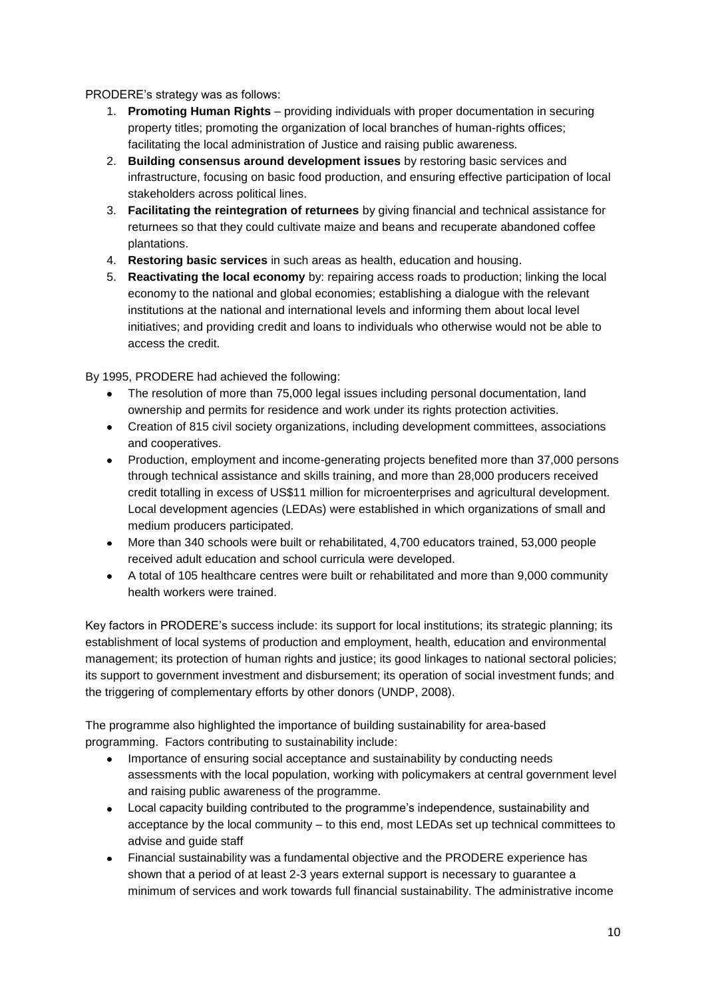PRODERE"s strategy was as follows:

- 1. **Promoting Human Rights** providing individuals with proper documentation in securing property titles; promoting the organization of local branches of human-rights offices; facilitating the local administration of Justice and raising public awareness.
- 2. **Building consensus around development issues** by restoring basic services and infrastructure, focusing on basic food production, and ensuring effective participation of local stakeholders across political lines.
- 3. **Facilitating the reintegration of returnees** by giving financial and technical assistance for returnees so that they could cultivate maize and beans and recuperate abandoned coffee plantations.
- 4. **Restoring basic services** in such areas as health, education and housing.
- 5. **Reactivating the local economy** by: repairing access roads to production; linking the local economy to the national and global economies; establishing a dialogue with the relevant institutions at the national and international levels and informing them about local level initiatives; and providing credit and loans to individuals who otherwise would not be able to access the credit.

By 1995, PRODERE had achieved the following:

- The resolution of more than 75,000 legal issues including personal documentation, land ownership and permits for residence and work under its rights protection activities.
- Creation of 815 civil society organizations, including development committees, associations and cooperatives.
- Production, employment and income-generating projects benefited more than 37,000 persons through technical assistance and skills training, and more than 28,000 producers received credit totalling in excess of US\$11 million for microenterprises and agricultural development. Local development agencies (LEDAs) were established in which organizations of small and medium producers participated.
- More than 340 schools were built or rehabilitated, 4,700 educators trained, 53,000 people received adult education and school curricula were developed.
- A total of 105 healthcare centres were built or rehabilitated and more than 9,000 community health workers were trained.

Key factors in PRODERE"s success include: its support for local institutions; its strategic planning; its establishment of local systems of production and employment, health, education and environmental management; its protection of human rights and justice; its good linkages to national sectoral policies; its support to government investment and disbursement; its operation of social investment funds; and the triggering of complementary efforts by other donors (UNDP, 2008).

The programme also highlighted the importance of building sustainability for area-based programming. Factors contributing to sustainability include:

- Importance of ensuring social acceptance and sustainability by conducting needs assessments with the local population, working with policymakers at central government level and raising public awareness of the programme.
- Local capacity building contributed to the programme's independence, sustainability and acceptance by the local community – to this end, most LEDAs set up technical committees to advise and guide staff
- Financial sustainability was a fundamental objective and the PRODERE experience has shown that a period of at least 2-3 years external support is necessary to guarantee a minimum of services and work towards full financial sustainability. The administrative income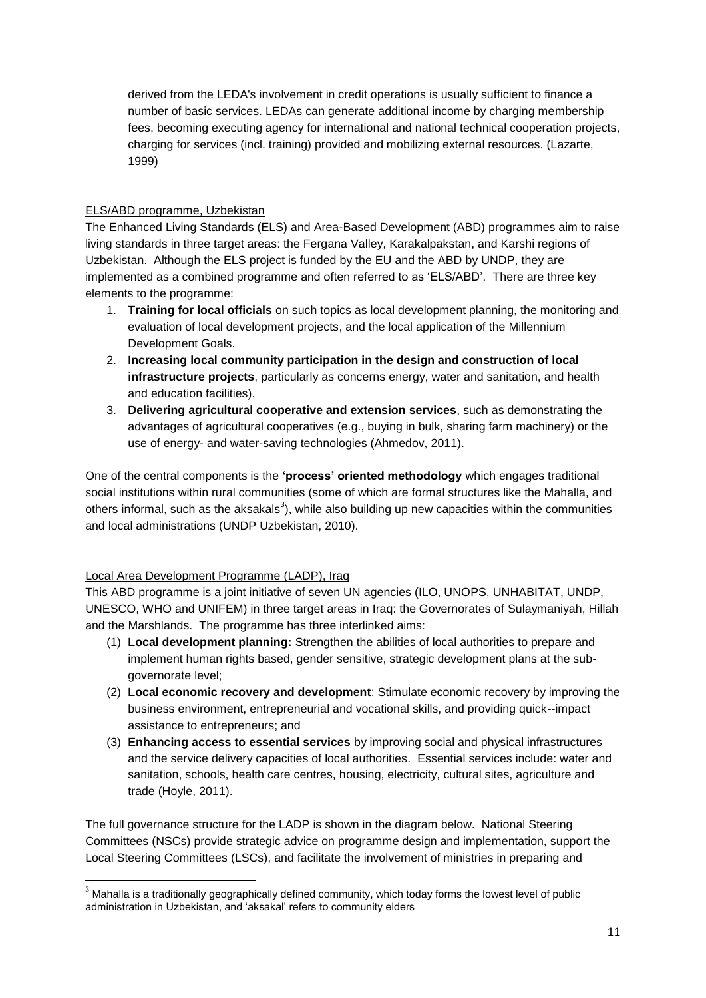derived from the LEDA's involvement in credit operations is usually sufficient to finance a number of basic services. LEDAs can generate additional income by charging membership fees, becoming executing agency for international and national technical cooperation projects, charging for services (incl. training) provided and mobilizing external resources. (Lazarte, 1999)

# ELS/ABD programme, Uzbekistan

The Enhanced Living Standards (ELS) and Area-Based Development (ABD) programmes aim to raise living standards in three target areas: the Fergana Valley, Karakalpakstan, and Karshi regions of Uzbekistan. Although the ELS project is funded by the EU and the ABD by UNDP, they are implemented as a combined programme and often referred to as "ELS/ABD". There are three key elements to the programme:

- 1. **Training for local officials** on such topics as local development planning, the monitoring and evaluation of local development projects, and the local application of the Millennium Development Goals.
- 2. **Increasing local community participation in the design and construction of local infrastructure projects**, particularly as concerns energy, water and sanitation, and health and education facilities).
- 3. **Delivering agricultural cooperative and extension services**, such as demonstrating the advantages of agricultural cooperatives (e.g., buying in bulk, sharing farm machinery) or the use of energy- and water-saving technologies (Ahmedov, 2011).

One of the central components is the **'process' oriented methodology** which engages traditional social institutions within rural communities (some of which are formal structures like the Mahalla, and others informal, such as the aksakals<sup>3</sup>), while also building up new capacities within the communities and local administrations (UNDP Uzbekistan, 2010).

# Local Area Development Programme (LADP), Iraq

This ABD programme is a joint initiative of seven UN agencies (ILO, UNOPS, UNHABITAT, UNDP, UNESCO, WHO and UNIFEM) in three target areas in Iraq: the Governorates of Sulaymaniyah, Hillah and the Marshlands. The programme has three interlinked aims:

- (1) **Local development planning:** Strengthen the abilities of local authorities to prepare and implement human rights based, gender sensitive, strategic development plans at the subgovernorate level;
- (2) **Local economic recovery and development**: Stimulate economic recovery by improving the business environment, entrepreneurial and vocational skills, and providing quick--impact assistance to entrepreneurs; and
- (3) **Enhancing access to essential services** by improving social and physical infrastructures and the service delivery capacities of local authorities. Essential services include: water and sanitation, schools, health care centres, housing, electricity, cultural sites, agriculture and trade (Hoyle, 2011).

The full governance structure for the LADP is shown in the diagram below. National Steering Committees (NSCs) provide strategic advice on programme design and implementation, support the Local Steering Committees (LSCs), and facilitate the involvement of ministries in preparing and

<sup>1</sup>  $3$  Mahalla is a traditionally geographically defined community, which today forms the lowest level of public administration in Uzbekistan, and "aksakal" refers to community elders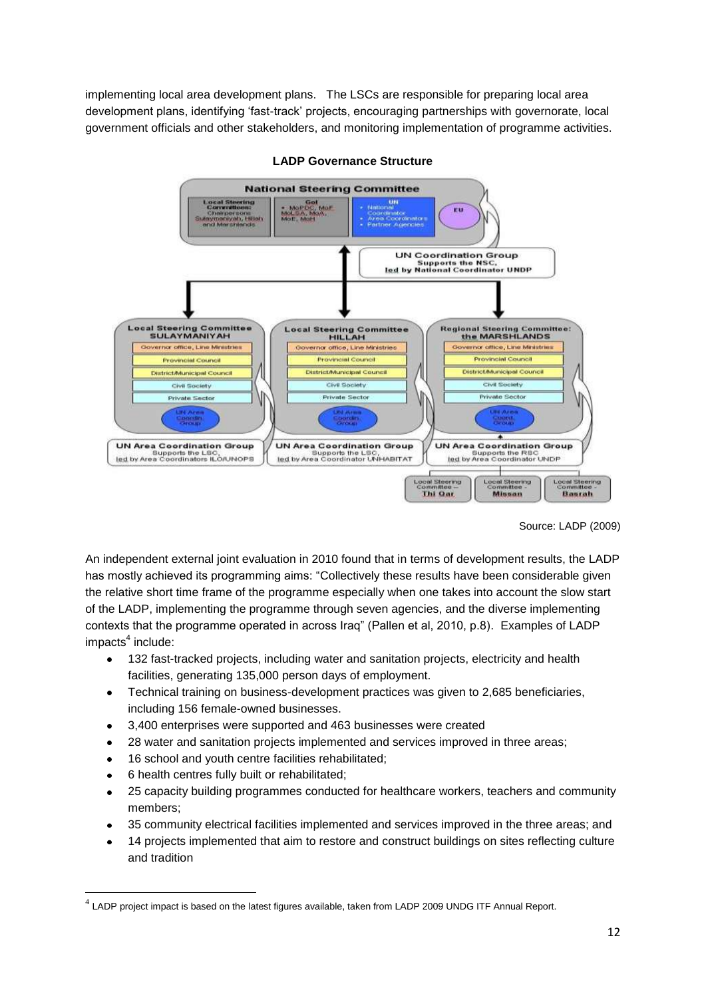implementing local area development plans. The LSCs are responsible for preparing local area development plans, identifying "fast-track" projects, encouraging partnerships with governorate, local government officials and other stakeholders, and monitoring implementation of programme activities.



#### **LADP Governance Structure**

Source: LADP (2009)

An independent external joint evaluation in 2010 found that in terms of development results, the LADP has mostly achieved its programming aims: "Collectively these results have been considerable given the relative short time frame of the programme especially when one takes into account the slow start of the LADP, implementing the programme through seven agencies, and the diverse implementing contexts that the programme operated in across Iraq" (Pallen et al, 2010, p.8). Examples of LADP impacts<sup>4</sup> include:

- 132 fast-tracked projects, including water and sanitation projects, electricity and health  $\bullet$ facilities, generating 135,000 person days of employment.
- Technical training on business-development practices was given to 2,685 beneficiaries,  $\bullet$ including 156 female-owned businesses.
- 3,400 enterprises were supported and 463 businesses were created  $\bullet$
- 28 water and sanitation projects implemented and services improved in three areas;  $\bullet$
- 16 school and youth centre facilities rehabilitated;  $\bullet$
- 6 health centres fully built or rehabilitated;

**.** 

- 25 capacity building programmes conducted for healthcare workers, teachers and community  $\bullet$ members;
- 35 community electrical facilities implemented and services improved in the three areas; and
- 14 projects implemented that aim to restore and construct buildings on sites reflecting culture and tradition

 $^4$  LADP project impact is based on the latest figures available, taken from LADP 2009 UNDG ITF Annual Report.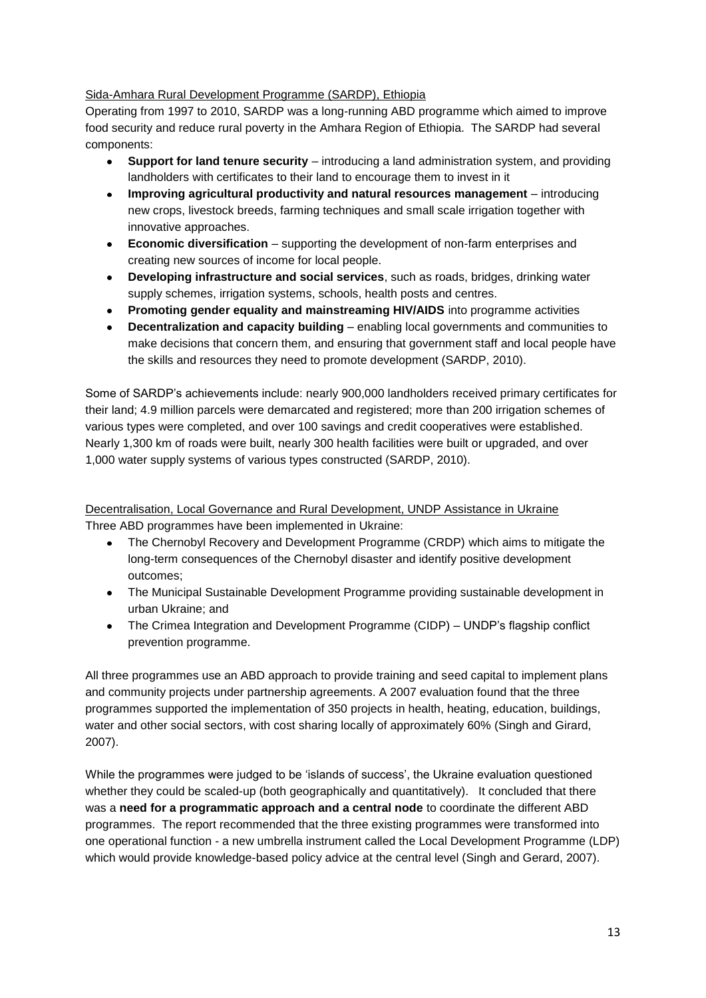# Sida-Amhara Rural Development Programme (SARDP), Ethiopia

Operating from 1997 to 2010, SARDP was a long-running ABD programme which aimed to improve food security and reduce rural poverty in the Amhara Region of Ethiopia. The SARDP had several components:

- $\bullet$ **Support for land tenure security** – introducing a land administration system, and providing landholders with certificates to their land to encourage them to invest in it
- $\bullet$ **Improving agricultural productivity and natural resources management** – introducing new crops, livestock breeds, farming techniques and small scale irrigation together with innovative approaches.
- **Economic diversification** supporting the development of non-farm enterprises and  $\bullet$ creating new sources of income for local people.
- **Developing infrastructure and social services**, such as roads, bridges, drinking water  $\bullet$ supply schemes, irrigation systems, schools, health posts and centres.
- **Promoting gender equality and mainstreaming HIV/AIDS** into programme activities  $\bullet$
- $\bullet$ **Decentralization and capacity building** – enabling local governments and communities to make decisions that concern them, and ensuring that government staff and local people have the skills and resources they need to promote development (SARDP, 2010).

Some of SARDP"s achievements include: nearly 900,000 landholders received primary certificates for their land; 4.9 million parcels were demarcated and registered; more than 200 irrigation schemes of various types were completed, and over 100 savings and credit cooperatives were established. Nearly 1,300 km of roads were built, nearly 300 health facilities were built or upgraded, and over 1,000 water supply systems of various types constructed (SARDP, 2010).

# Decentralisation, Local Governance and Rural Development, UNDP Assistance in Ukraine Three ABD programmes have been implemented in Ukraine:

- The Chernobyl Recovery and Development Programme (CRDP) which aims to mitigate the long-term consequences of the Chernobyl disaster and identify positive development outcomes;
- The Municipal Sustainable Development Programme providing sustainable development in urban Ukraine; and
- The Crimea Integration and Development Programme (CIDP) UNDP"s flagship conflict prevention programme.

All three programmes use an ABD approach to provide training and seed capital to implement plans and community projects under partnership agreements. A 2007 evaluation found that the three programmes supported the implementation of 350 projects in health, heating, education, buildings, water and other social sectors, with cost sharing locally of approximately 60% (Singh and Girard, 2007).

While the programmes were judged to be 'islands of success', the Ukraine evaluation questioned whether they could be scaled-up (both geographically and quantitatively). It concluded that there was a **need for a programmatic approach and a central node** to coordinate the different ABD programmes. The report recommended that the three existing programmes were transformed into one operational function - a new umbrella instrument called the Local Development Programme (LDP) which would provide knowledge-based policy advice at the central level (Singh and Gerard, 2007).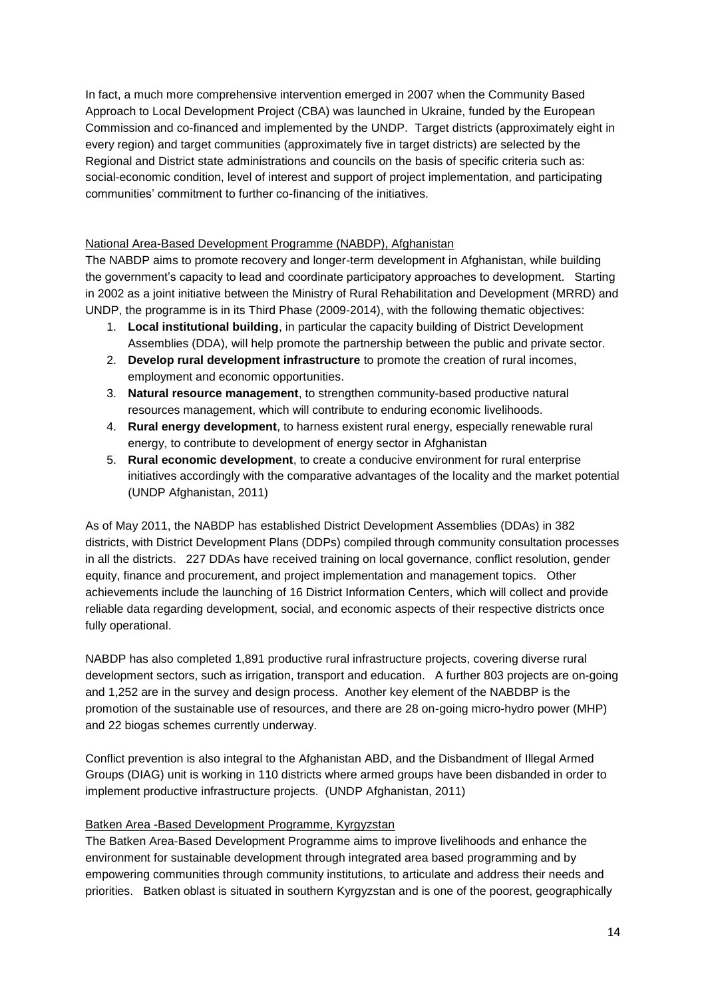In fact, a much more comprehensive intervention emerged in 2007 when the Community Based Approach to Local Development Project (CBA) was launched in Ukraine, funded by the European Commission and co-financed and implemented by the UNDP. Target districts (approximately eight in every region) and target communities (approximately five in target districts) are selected by the Regional and District state administrations and councils on the basis of specific criteria such as: social-economic condition, level of interest and support of project implementation, and participating communities" commitment to further co-financing of the initiatives.

# National Area-Based Development Programme (NABDP), Afghanistan

The NABDP aims to promote recovery and longer-term development in Afghanistan, while building the government"s capacity to lead and coordinate participatory approaches to development. Starting in 2002 as a joint initiative between the Ministry of Rural Rehabilitation and Development (MRRD) and UNDP, the programme is in its Third Phase (2009-2014), with the following thematic objectives:

- 1. **Local institutional building**, in particular the capacity building of District Development Assemblies (DDA), will help promote the partnership between the public and private sector.
- 2. **Develop rural development infrastructure** to promote the creation of rural incomes, employment and economic opportunities.
- 3. **Natural resource management**, to strengthen community-based productive natural resources management, which will contribute to enduring economic livelihoods.
- 4. **Rural energy development**, to harness existent rural energy, especially renewable rural energy, to contribute to development of energy sector in Afghanistan
- 5. **Rural economic development**, to create a conducive environment for rural enterprise initiatives accordingly with the comparative advantages of the locality and the market potential (UNDP Afghanistan, 2011)

As of May 2011, the NABDP has established District Development Assemblies (DDAs) in 382 districts, with District Development Plans (DDPs) compiled through community consultation processes in all the districts. 227 DDAs have received training on local governance, conflict resolution, gender equity, finance and procurement, and project implementation and management topics. Other achievements include the launching of 16 District Information Centers, which will collect and provide reliable data regarding development, social, and economic aspects of their respective districts once fully operational.

NABDP has also completed 1,891 productive rural infrastructure projects, covering diverse rural development sectors, such as irrigation, transport and education. A further 803 projects are on-going and 1,252 are in the survey and design process. Another key element of the NABDBP is the promotion of the sustainable use of resources, and there are 28 on-going micro-hydro power (MHP) and 22 biogas schemes currently underway.

Conflict prevention is also integral to the Afghanistan ABD, and the Disbandment of Illegal Armed Groups (DIAG) unit is working in 110 districts where armed groups have been disbanded in order to implement productive infrastructure projects. (UNDP Afghanistan, 2011)

## Batken Area -Based Development Programme, Kyrgyzstan

The Batken Area-Based Development Programme aims to improve livelihoods and enhance the environment for sustainable development through integrated area based programming and by empowering communities through community institutions, to articulate and address their needs and priorities. Batken oblast is situated in southern Kyrgyzstan and is one of the poorest, geographically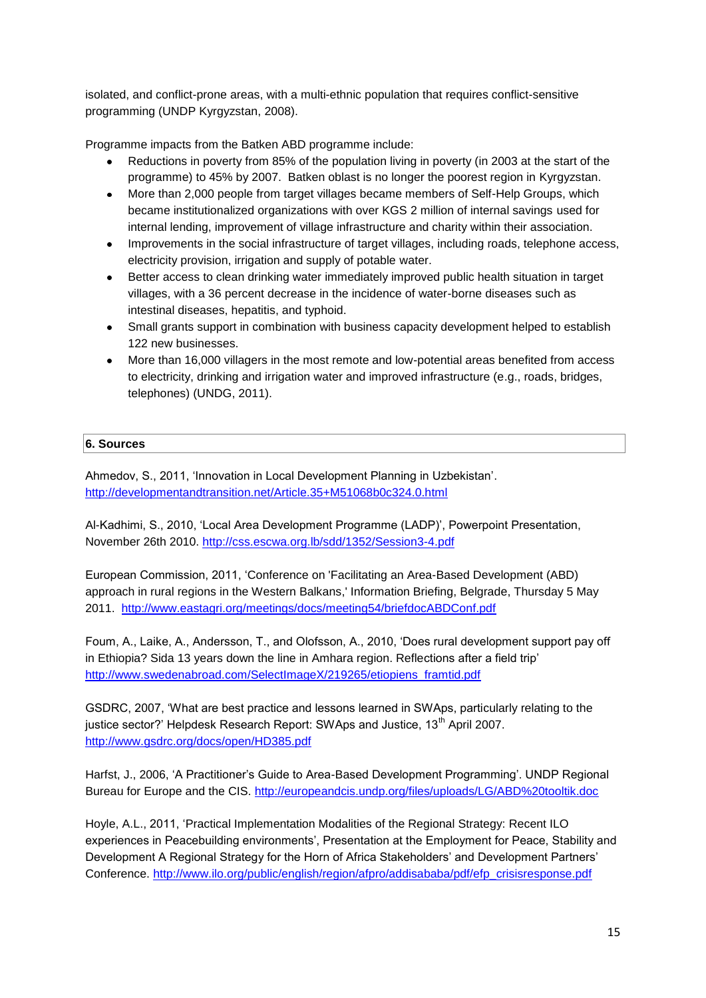isolated, and conflict-prone areas, with a multi-ethnic population that requires conflict-sensitive programming (UNDP Kyrgyzstan, 2008).

Programme impacts from the Batken ABD programme include:

- Reductions in poverty from 85% of the population living in poverty (in 2003 at the start of the programme) to 45% by 2007. Batken oblast is no longer the poorest region in Kyrgyzstan.
- More than 2,000 people from target villages became members of Self-Help Groups, which became institutionalized organizations with over KGS 2 million of internal savings used for internal lending, improvement of village infrastructure and charity within their association.
- Improvements in the social infrastructure of target villages, including roads, telephone access,  $\bullet$ electricity provision, irrigation and supply of potable water.
- $\bullet$ Better access to clean drinking water immediately improved public health situation in target villages, with a 36 percent decrease in the incidence of water-borne diseases such as intestinal diseases, hepatitis, and typhoid.
- Small grants support in combination with business capacity development helped to establish  $\bullet$ 122 new businesses.
- More than 16,000 villagers in the most remote and low-potential areas benefited from access to electricity, drinking and irrigation water and improved infrastructure (e.g., roads, bridges, telephones) (UNDG, 2011).

# **6. Sources**

Ahmedov, S., 2011, "Innovation in Local Development Planning in Uzbekistan". <http://developmentandtransition.net/Article.35+M51068b0c324.0.html>

Al-Kadhimi, S., 2010, "Local Area Development Programme (LADP)", Powerpoint Presentation, November 26th 2010.<http://css.escwa.org.lb/sdd/1352/Session3-4.pdf>

European Commission, 2011, "Conference on 'Facilitating an Area-Based Development (ABD) approach in rural regions in the Western Balkans,' Information Briefing, Belgrade, Thursday 5 May 2011. <http://www.eastagri.org/meetings/docs/meeting54/briefdocABDConf.pdf>

Foum, A., Laike, A., Andersson, T., and Olofsson, A., 2010, "Does rural development support pay off in Ethiopia? Sida 13 years down the line in Amhara region. Reflections after a field trip" [http://www.swedenabroad.com/SelectImageX/219265/etiopiens\\_framtid.pdf](http://www.swedenabroad.com/SelectImageX/219265/etiopiens_framtid.pdf)

GSDRC, 2007, "What are best practice and lessons learned in SWAps, particularly relating to the justice sector?' Helpdesk Research Report: SWAps and Justice, 13<sup>th</sup> April 2007. <http://www.gsdrc.org/docs/open/HD385.pdf>

Harfst, J., 2006, 'A Practitioner's Guide to Area-Based Development Programming'. UNDP Regional Bureau for Europe and the CIS.<http://europeandcis.undp.org/files/uploads/LG/ABD%20tooltik.doc>

Hoyle, A.L., 2011, "Practical Implementation Modalities of the Regional Strategy: Recent ILO experiences in Peacebuilding environments", Presentation at the Employment for Peace, Stability and Development A Regional Strategy for the Horn of Africa Stakeholders" and Development Partners" Conference. [http://www.ilo.org/public/english/region/afpro/addisababa/pdf/efp\\_crisisresponse.pdf](http://www.ilo.org/public/english/region/afpro/addisababa/pdf/efp_crisisresponse.pdf)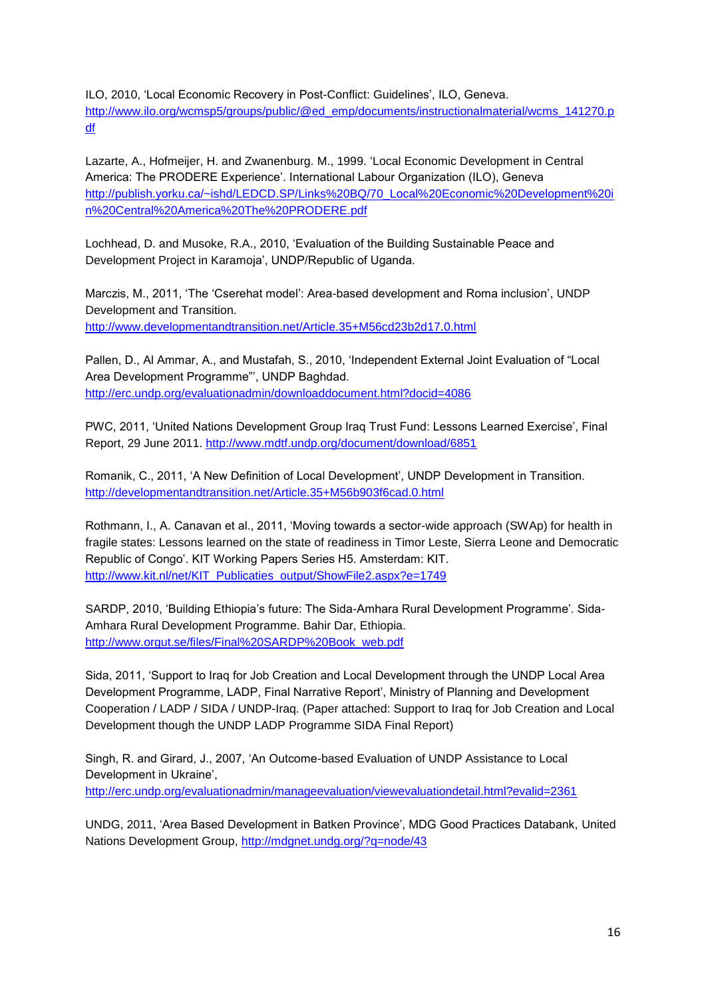ILO, 2010, 'Local Economic Recovery in Post-Conflict: Guidelines', ILO, Geneva. [http://www.ilo.org/wcmsp5/groups/public/@ed\\_emp/documents/instructionalmaterial/wcms\\_141270.p](http://www.ilo.org/wcmsp5/groups/public/@ed_emp/documents/instructionalmaterial/wcms_141270.pdf) [df](http://www.ilo.org/wcmsp5/groups/public/@ed_emp/documents/instructionalmaterial/wcms_141270.pdf)

Lazarte, A., Hofmeijer, H. and Zwanenburg. M., 1999. "Local Economic Development in Central America: The PRODERE Experience". International Labour Organization (ILO), Geneva [http://publish.yorku.ca/~ishd/LEDCD.SP/Links%20BQ/70\\_Local%20Economic%20Development%20i](http://publish.yorku.ca/~ishd/LEDCD.SP/Links%20BQ/70_Local%20Economic%20Development%20in%20Central%20America%20The%20PRODERE.pdf) [n%20Central%20America%20The%20PRODERE.pdf](http://publish.yorku.ca/~ishd/LEDCD.SP/Links%20BQ/70_Local%20Economic%20Development%20in%20Central%20America%20The%20PRODERE.pdf)

Lochhead, D. and Musoke, R.A., 2010, "Evaluation of the Building Sustainable Peace and Development Project in Karamoja", UNDP/Republic of Uganda.

Marczis, M., 2011, "The "Cserehat model": Area-based development and Roma inclusion", UNDP Development and Transition. <http://www.developmentandtransition.net/Article.35+M56cd23b2d17.0.html>

Pallen, D., Al Ammar, A., and Mustafah, S., 2010, "Independent External Joint Evaluation of "Local Area Development Programme"", UNDP Baghdad. <http://erc.undp.org/evaluationadmin/downloaddocument.html?docid=4086>

PWC, 2011, "United Nations Development Group Iraq Trust Fund: Lessons Learned Exercise", Final Report, 29 June 2011. <http://www.mdtf.undp.org/document/download/6851>

Romanik, C., 2011, "A New Definition of Local Development", UNDP Development in Transition. <http://developmentandtransition.net/Article.35+M56b903f6cad.0.html>

Rothmann, I., A. Canavan et al., 2011, "Moving towards a sector-wide approach (SWAp) for health in fragile states: Lessons learned on the state of readiness in Timor Leste, Sierra Leone and Democratic Republic of Congo". KIT Working Papers Series H5. Amsterdam: KIT. [http://www.kit.nl/net/KIT\\_Publicaties\\_output/ShowFile2.aspx?e=1749](http://www.kit.nl/net/KIT_Publicaties_output/ShowFile2.aspx?e=1749)

SARDP, 2010, "Building Ethiopia"s future: The Sida-Amhara Rural Development Programme". Sida-Amhara Rural Development Programme. Bahir Dar, Ethiopia. [http://www.orgut.se/files/Final%20SARDP%20Book\\_web.pdf](http://www.orgut.se/files/Final%20SARDP%20Book_web.pdf)

Sida, 2011, "Support to Iraq for Job Creation and Local Development through the UNDP Local Area Development Programme, LADP, Final Narrative Report", Ministry of Planning and Development Cooperation / LADP / SIDA / UNDP-Iraq. (Paper attached: Support to Iraq for Job Creation and Local Development though the UNDP LADP Programme SIDA Final Report)

Singh, R. and Girard, J., 2007, "An Outcome-based Evaluation of UNDP Assistance to Local Development in Ukraine', <http://erc.undp.org/evaluationadmin/manageevaluation/viewevaluationdetail.html?evalid=2361>

UNDG, 2011, "Area Based Development in Batken Province", MDG Good Practices Databank, United Nations Development Group,<http://mdgnet.undg.org/?q=node/43>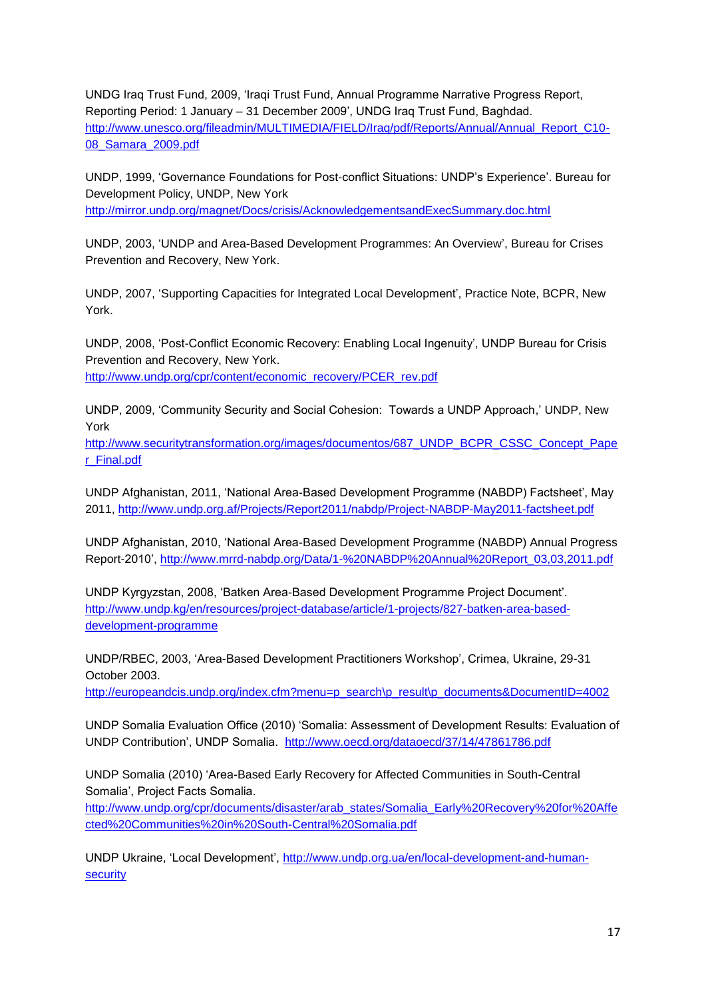UNDG Iraq Trust Fund, 2009, "Iraqi Trust Fund, Annual Programme Narrative Progress Report, Reporting Period: 1 January – 31 December 2009", UNDG Iraq Trust Fund, Baghdad. [http://www.unesco.org/fileadmin/MULTIMEDIA/FIELD/Iraq/pdf/Reports/Annual/Annual\\_Report\\_C10-](http://www.unesco.org/fileadmin/MULTIMEDIA/FIELD/Iraq/pdf/Reports/Annual/Annual_Report_C10-08_Samara_2009.pdf) [08\\_Samara\\_2009.pdf](http://www.unesco.org/fileadmin/MULTIMEDIA/FIELD/Iraq/pdf/Reports/Annual/Annual_Report_C10-08_Samara_2009.pdf)

UNDP, 1999, "Governance Foundations for Post-conflict Situations: UNDP"s Experience". Bureau for Development Policy, UNDP, New York

<http://mirror.undp.org/magnet/Docs/crisis/AcknowledgementsandExecSummary.doc.html>

UNDP, 2003, "UNDP and Area-Based Development Programmes: An Overview", Bureau for Crises Prevention and Recovery, New York.

UNDP, 2007, "Supporting Capacities for Integrated Local Development", Practice Note, BCPR, New York.

UNDP, 2008, "Post-Conflict Economic Recovery: Enabling Local Ingenuity", UNDP Bureau for Crisis Prevention and Recovery, New York. [http://www.undp.org/cpr/content/economic\\_recovery/PCER\\_rev.pdf](http://www.undp.org/cpr/content/economic_recovery/PCER_rev.pdf)

UNDP, 2009, "Community Security and Social Cohesion: Towards a UNDP Approach," UNDP, New York

[http://www.securitytransformation.org/images/documentos/687\\_UNDP\\_BCPR\\_CSSC\\_Concept\\_Pape](http://www.securitytransformation.org/images/documentos/687_UNDP_BCPR_CSSC_Concept_Paper_Final.pdf) [r\\_Final.pdf](http://www.securitytransformation.org/images/documentos/687_UNDP_BCPR_CSSC_Concept_Paper_Final.pdf) 

UNDP Afghanistan, 2011, "National Area-Based Development Programme (NABDP) Factsheet", May 2011,<http://www.undp.org.af/Projects/Report2011/nabdp/Project-NABDP-May2011-factsheet.pdf>

UNDP Afghanistan, 2010, "National Area-Based Development Programme (NABDP) Annual Progress Report-2010", [http://www.mrrd-nabdp.org/Data/1-%20NABDP%20Annual%20Report\\_03,03,2011.pdf](http://www.mrrd-nabdp.org/Data/1-%20NABDP%20Annual%20Report_03,03,2011.pdf)

UNDP Kyrgyzstan, 2008, "Batken Area-Based Development Programme Project Document". [http://www.undp.kg/en/resources/project-database/article/1-projects/827-batken-area-based](http://www.undp.kg/en/resources/project-database/article/1-projects/827-batken-area-based-development-programme)[development-programme](http://www.undp.kg/en/resources/project-database/article/1-projects/827-batken-area-based-development-programme)

UNDP/RBEC, 2003, "Area-Based Development Practitioners Workshop", Crimea, Ukraine, 29-31 October 2003.

[http://europeandcis.undp.org/index.cfm?menu=p\\_search\p\\_result\p\\_documents&DocumentID=4002](http://europeandcis.undp.org/index.cfm?menu=p_search/p_result/p_documents&DocumentID=4002)

UNDP Somalia Evaluation Office (2010) "Somalia: Assessment of Development Results: Evaluation of UNDP Contribution", UNDP Somalia. <http://www.oecd.org/dataoecd/37/14/47861786.pdf>

UNDP Somalia (2010) "Area-Based Early Recovery for Affected Communities in South-Central Somalia", Project Facts Somalia.

[http://www.undp.org/cpr/documents/disaster/arab\\_states/Somalia\\_Early%20Recovery%20for%20Affe](http://www.undp.org/cpr/documents/disaster/arab_states/Somalia_Early%20Recovery%20for%20Affected%20Communities%20in%20South-Central%20Somalia.pdf) [cted%20Communities%20in%20South-Central%20Somalia.pdf](http://www.undp.org/cpr/documents/disaster/arab_states/Somalia_Early%20Recovery%20for%20Affected%20Communities%20in%20South-Central%20Somalia.pdf)

UNDP Ukraine, "Local Development", [http://www.undp.org.ua/en/local-development-and-human](http://www.undp.org.ua/en/local-development-and-human-security)[security](http://www.undp.org.ua/en/local-development-and-human-security)